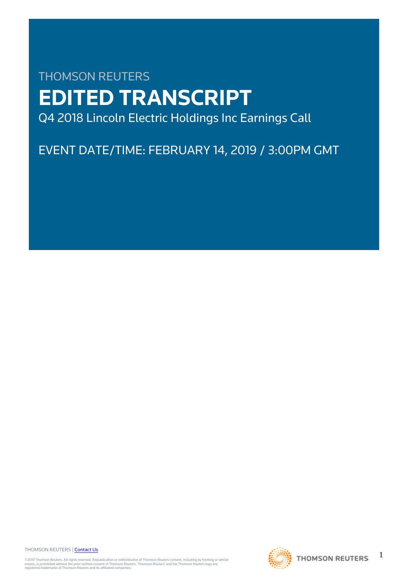# THOMSON REUTERS **EDITED TRANSCRIPT** Q4 2018 Lincoln Electric Holdings Inc Earnings Call

EVENT DATE/TIME: FEBRUARY 14, 2019 / 3:00PM GMT

THOMSON REUTERS | [Contact Us](https://my.thomsonreuters.com/ContactUsNew)

©2019 Thomson Reuters. All rights reserved. Republication or redistribution of Thomson Reuters content, including by framing or similar<br>means, is prohibited without the prior written consent of Thomson Reuters. "Thomson Re



1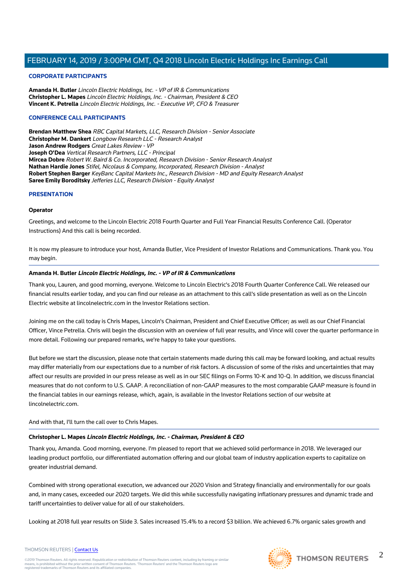#### **CORPORATE PARTICIPANTS**

**Amanda H. Butler** Lincoln Electric Holdings, Inc. - VP of IR & Communications **Christopher L. Mapes** Lincoln Electric Holdings, Inc. - Chairman, President & CEO **Vincent K. Petrella** Lincoln Electric Holdings, Inc. - Executive VP, CFO & Treasurer

#### **CONFERENCE CALL PARTICIPANTS**

**Brendan Matthew Shea** RBC Capital Markets, LLC, Research Division - Senior Associate **Christopher M. Dankert** Longbow Research LLC - Research Analyst **Jason Andrew Rodgers** Great Lakes Review - VP **Joseph O'Dea** Vertical Research Partners, LLC - Principal **Mircea Dobre** Robert W. Baird & Co. Incorporated, Research Division - Senior Research Analyst **Nathan Hardie Jones** Stifel, Nicolaus & Company, Incorporated, Research Division - Analyst **Robert Stephen Barger** KeyBanc Capital Markets Inc., Research Division - MD and Equity Research Analyst **Saree Emily Boroditsky** Jefferies LLC, Research Division - Equity Analyst

#### **PRESENTATION**

#### **Operator**

Greetings, and welcome to the Lincoln Electric 2018 Fourth Quarter and Full Year Financial Results Conference Call. (Operator Instructions) And this call is being recorded.

It is now my pleasure to introduce your host, Amanda Butler, Vice President of Investor Relations and Communications. Thank you. You may begin.

#### **Amanda H. Butler Lincoln Electric Holdings, Inc. - VP of IR & Communications**

Thank you, Lauren, and good morning, everyone. Welcome to Lincoln Electric's 2018 Fourth Quarter Conference Call. We released our financial results earlier today, and you can find our release as an attachment to this call's slide presentation as well as on the Lincoln Electric website at lincolnelectric.com in the Investor Relations section.

Joining me on the call today is Chris Mapes, Lincoln's Chairman, President and Chief Executive Officer; as well as our Chief Financial Officer, Vince Petrella. Chris will begin the discussion with an overview of full year results, and Vince will cover the quarter performance in more detail. Following our prepared remarks, we're happy to take your questions.

But before we start the discussion, please note that certain statements made during this call may be forward looking, and actual results may differ materially from our expectations due to a number of risk factors. A discussion of some of the risks and uncertainties that may affect our results are provided in our press release as well as in our SEC filings on Forms 10-K and 10-Q. In addition, we discuss financial measures that do not conform to U.S. GAAP. A reconciliation of non-GAAP measures to the most comparable GAAP measure is found in the financial tables in our earnings release, which, again, is available in the Investor Relations section of our website at lincolnelectric.com.

And with that, I'll turn the call over to Chris Mapes.

#### **Christopher L. Mapes Lincoln Electric Holdings, Inc. - Chairman, President & CEO**

Thank you, Amanda. Good morning, everyone. I'm pleased to report that we achieved solid performance in 2018. We leveraged our leading product portfolio, our differentiated automation offering and our global team of industry application experts to capitalize on greater industrial demand.

Combined with strong operational execution, we advanced our 2020 Vision and Strategy financially and environmentally for our goals and, in many cases, exceeded our 2020 targets. We did this while successfully navigating inflationary pressures and dynamic trade and tariff uncertainties to deliver value for all of our stakeholders.

Looking at 2018 full year results on Slide 3. Sales increased 15.4% to a record \$3 billion. We achieved 6.7% organic sales growth and



#### THOMSON REUTERS | [Contact Us](https://my.thomsonreuters.com/ContactUsNew)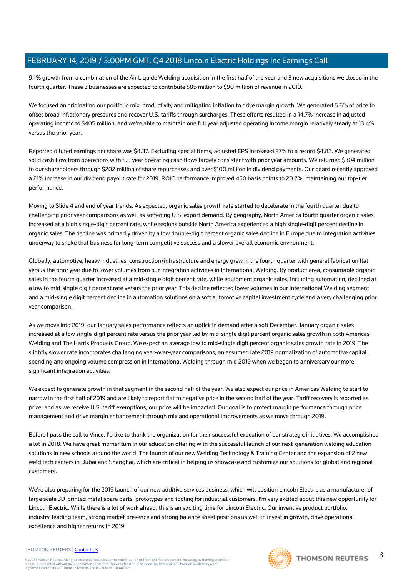9.1% growth from a combination of the Air Liquide Welding acquisition in the first half of the year and 3 new acquisitions we closed in the fourth quarter. These 3 businesses are expected to contribute \$85 million to \$90 million of revenue in 2019.

We focused on originating our portfolio mix, productivity and mitigating inflation to drive margin growth. We generated 5.6% of price to offset broad inflationary pressures and recover U.S. tariffs through surcharges. These efforts resulted in a 14.7% increase in adjusted operating income to \$405 million, and we're able to maintain one full year adjusted operating income margin relatively steady at 13.4% versus the prior year.

Reported diluted earnings per share was \$4.37. Excluding special items, adjusted EPS increased 27% to a record \$4.82. We generated solid cash flow from operations with full year operating cash flows largely consistent with prior year amounts. We returned \$304 million to our shareholders through \$202 million of share repurchases and over \$100 million in dividend payments. Our board recently approved a 21% increase in our dividend payout rate for 2019. ROIC performance improved 450 basis points to 20.7%, maintaining our top-tier performance.

Moving to Slide 4 and end of year trends. As expected, organic sales growth rate started to decelerate in the fourth quarter due to challenging prior year comparisons as well as softening U.S. export demand. By geography, North America fourth quarter organic sales increased at a high single-digit percent rate, while regions outside North America experienced a high single-digit percent decline in organic sales. The decline was primarily driven by a low double-digit percent organic sales decline in Europe due to integration activities underway to shake that business for long-term competitive success and a slower overall economic environment.

Globally, automotive, heavy industries, construction/infrastructure and energy grew in the fourth quarter with general fabrication flat versus the prior year due to lower volumes from our integration activities in International Welding. By product area, consumable organic sales in the fourth quarter increased at a mid-single digit percent rate, while equipment organic sales, including automation, declined at a low to mid-single digit percent rate versus the prior year. This decline reflected lower volumes in our International Welding segment and a mid-single digit percent decline in automation solutions on a soft automotive capital investment cycle and a very challenging prior year comparison.

As we move into 2019, our January sales performance reflects an uptick in demand after a soft December. January organic sales increased at a low single-digit percent rate versus the prior year led by mid-single digit percent organic sales growth in both Americas Welding and The Harris Products Group. We expect an average low to mid-single digit percent organic sales growth rate in 2019. The slightly slower rate incorporates challenging year-over-year comparisons, an assumed late 2019 normalization of automotive capital spending and ongoing volume compression in International Welding through mid 2019 when we began to anniversary our more significant integration activities.

We expect to generate growth in that segment in the second half of the year. We also expect our price in Americas Welding to start to narrow in the first half of 2019 and are likely to report flat to negative price in the second half of the year. Tariff recovery is reported as price, and as we receive U.S. tariff exemptions, our price will be impacted. Our goal is to protect margin performance through price management and drive margin enhancement through mix and operational improvements as we move through 2019.

Before I pass the call to Vince, I'd like to thank the organization for their successful execution of our strategic initiatives. We accomplished a lot in 2018. We have great momentum in our education offering with the successful launch of our next-generation welding education solutions in new schools around the world. The launch of our new Welding Technology & Training Center and the expansion of 2 new weld tech centers in Dubai and Shanghai, which are critical in helping us showcase and customize our solutions for global and regional customers.

We're also preparing for the 2019 launch of our new additive services business, which will position Lincoln Electric as a manufacturer of large scale 3D-printed metal spare parts, prototypes and tooling for industrial customers. I'm very excited about this new opportunity for Lincoln Electric. While there is a lot of work ahead, this is an exciting time for Lincoln Electric. Our inventive product portfolio, industry-leading team, strong market presence and strong balance sheet positions us well to invest in growth, drive operational excellence and higher returns in 2019.

#### THOMSON REUTERS | [Contact Us](https://my.thomsonreuters.com/ContactUsNew)

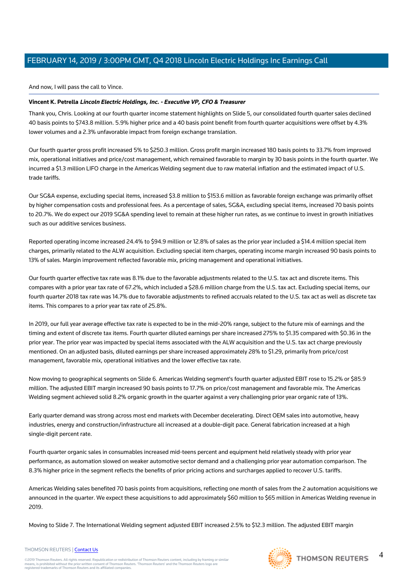And now, I will pass the call to Vince.

## **Vincent K. Petrella Lincoln Electric Holdings, Inc. - Executive VP, CFO & Treasurer**

Thank you, Chris. Looking at our fourth quarter income statement highlights on Slide 5, our consolidated fourth quarter sales declined 40 basis points to \$743.8 million. 5.9% higher price and a 40 basis point benefit from fourth quarter acquisitions were offset by 4.3% lower volumes and a 2.3% unfavorable impact from foreign exchange translation.

Our fourth quarter gross profit increased 5% to \$250.3 million. Gross profit margin increased 180 basis points to 33.7% from improved mix, operational initiatives and price/cost management, which remained favorable to margin by 30 basis points in the fourth quarter. We incurred a \$1.3 million LIFO charge in the Americas Welding segment due to raw material inflation and the estimated impact of U.S. trade tariffs.

Our SG&A expense, excluding special items, increased \$3.8 million to \$153.6 million as favorable foreign exchange was primarily offset by higher compensation costs and professional fees. As a percentage of sales, SG&A, excluding special items, increased 70 basis points to 20.7%. We do expect our 2019 SG&A spending level to remain at these higher run rates, as we continue to invest in growth initiatives such as our additive services business.

Reported operating income increased 24.4% to \$94.9 million or 12.8% of sales as the prior year included a \$14.4 million special item charges, primarily related to the ALW acquisition. Excluding special item charges, operating income margin increased 90 basis points to 13% of sales. Margin improvement reflected favorable mix, pricing management and operational initiatives.

Our fourth quarter effective tax rate was 8.1% due to the favorable adjustments related to the U.S. tax act and discrete items. This compares with a prior year tax rate of 67.2%, which included a \$28.6 million charge from the U.S. tax act. Excluding special items, our fourth quarter 2018 tax rate was 14.7% due to favorable adjustments to refined accruals related to the U.S. tax act as well as discrete tax items. This compares to a prior year tax rate of 25.8%.

In 2019, our full year average effective tax rate is expected to be in the mid-20% range, subject to the future mix of earnings and the timing and extent of discrete tax items. Fourth quarter diluted earnings per share increased 275% to \$1.35 compared with \$0.36 in the prior year. The prior year was impacted by special items associated with the ALW acquisition and the U.S. tax act charge previously mentioned. On an adjusted basis, diluted earnings per share increased approximately 28% to \$1.29, primarily from price/cost management, favorable mix, operational initiatives and the lower effective tax rate.

Now moving to geographical segments on Slide 6. Americas Welding segment's fourth quarter adjusted EBIT rose to 15.2% or \$85.9 million. The adjusted EBIT margin increased 90 basis points to 17.7% on price/cost management and favorable mix. The Americas Welding segment achieved solid 8.2% organic growth in the quarter against a very challenging prior year organic rate of 13%.

Early quarter demand was strong across most end markets with December decelerating. Direct OEM sales into automotive, heavy industries, energy and construction/infrastructure all increased at a double-digit pace. General fabrication increased at a high single-digit percent rate.

Fourth quarter organic sales in consumables increased mid-teens percent and equipment held relatively steady with prior year performance, as automation slowed on weaker automotive sector demand and a challenging prior year automation comparison. The 8.3% higher price in the segment reflects the benefits of prior pricing actions and surcharges applied to recover U.S. tariffs.

Americas Welding sales benefited 70 basis points from acquisitions, reflecting one month of sales from the 2 automation acquisitions we announced in the quarter. We expect these acquisitions to add approximately \$60 million to \$65 million in Americas Welding revenue in 2019.

Moving to Slide 7. The International Welding segment adjusted EBIT increased 2.5% to \$12.3 million. The adjusted EBIT margin

THOMSON REUTERS | [Contact Us](https://my.thomsonreuters.com/ContactUsNew)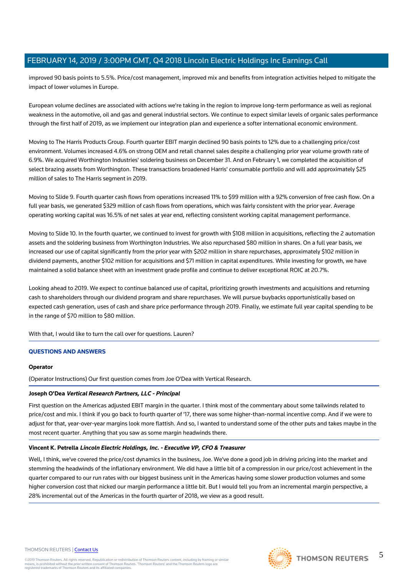improved 90 basis points to 5.5%. Price/cost management, improved mix and benefits from integration activities helped to mitigate the impact of lower volumes in Europe.

European volume declines are associated with actions we're taking in the region to improve long-term performance as well as regional weakness in the automotive, oil and gas and general industrial sectors. We continue to expect similar levels of organic sales performance through the first half of 2019, as we implement our integration plan and experience a softer international economic environment.

Moving to The Harris Products Group. Fourth quarter EBIT margin declined 90 basis points to 12% due to a challenging price/cost environment. Volumes increased 4.6% on strong OEM and retail channel sales despite a challenging prior year volume growth rate of 6.9%. We acquired Worthington Industries' soldering business on December 31. And on February 1, we completed the acquisition of select brazing assets from Worthington. These transactions broadened Harris' consumable portfolio and will add approximately \$25 million of sales to The Harris segment in 2019.

Moving to Slide 9. Fourth quarter cash flows from operations increased 11% to \$99 million with a 92% conversion of free cash flow. On a full year basis, we generated \$329 million of cash flows from operations, which was fairly consistent with the prior year. Average operating working capital was 16.5% of net sales at year end, reflecting consistent working capital management performance.

Moving to Slide 10. In the fourth quarter, we continued to invest for growth with \$108 million in acquisitions, reflecting the 2 automation assets and the soldering business from Worthington Industries. We also repurchased \$80 million in shares. On a full year basis, we increased our use of capital significantly from the prior year with \$202 million in share repurchases, approximately \$102 million in dividend payments, another \$102 million for acquisitions and \$71 million in capital expenditures. While investing for growth, we have maintained a solid balance sheet with an investment grade profile and continue to deliver exceptional ROIC at 20.7%.

Looking ahead to 2019. We expect to continue balanced use of capital, prioritizing growth investments and acquisitions and returning cash to shareholders through our dividend program and share repurchases. We will pursue buybacks opportunistically based on expected cash generation, uses of cash and share price performance through 2019. Finally, we estimate full year capital spending to be in the range of \$70 million to \$80 million.

With that, I would like to turn the call over for questions. Lauren?

# **QUESTIONS AND ANSWERS**

#### **Operator**

(Operator Instructions) Our first question comes from Joe O'Dea with Vertical Research.

#### **Joseph O'Dea Vertical Research Partners, LLC - Principal**

First question on the Americas adjusted EBIT margin in the quarter. I think most of the commentary about some tailwinds related to price/cost and mix. I think if you go back to fourth quarter of '17, there was some higher-than-normal incentive comp. And if we were to adjust for that, year-over-year margins look more flattish. And so, I wanted to understand some of the other puts and takes maybe in the most recent quarter. Anything that you saw as some margin headwinds there.

#### **Vincent K. Petrella Lincoln Electric Holdings, Inc. - Executive VP, CFO & Treasurer**

Well, I think, we've covered the price/cost dynamics in the business, Joe. We've done a good job in driving pricing into the market and stemming the headwinds of the inflationary environment. We did have a little bit of a compression in our price/cost achievement in the quarter compared to our run rates with our biggest business unit in the Americas having some slower production volumes and some higher conversion cost that nicked our margin performance a little bit. But I would tell you from an incremental margin perspective, a 28% incremental out of the Americas in the fourth quarter of 2018, we view as a good result.

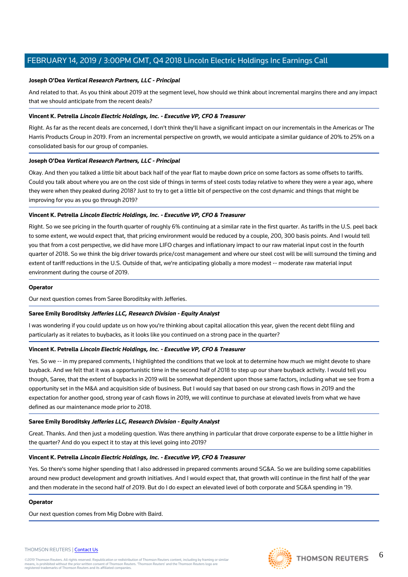#### **Joseph O'Dea Vertical Research Partners, LLC - Principal**

And related to that. As you think about 2019 at the segment level, how should we think about incremental margins there and any impact that we should anticipate from the recent deals?

#### **Vincent K. Petrella Lincoln Electric Holdings, Inc. - Executive VP, CFO & Treasurer**

Right. As far as the recent deals are concerned, I don't think they'll have a significant impact on our incrementals in the Americas or The Harris Products Group in 2019. From an incremental perspective on growth, we would anticipate a similar guidance of 20% to 25% on a consolidated basis for our group of companies.

## **Joseph O'Dea Vertical Research Partners, LLC - Principal**

Okay. And then you talked a little bit about back half of the year flat to maybe down price on some factors as some offsets to tariffs. Could you talk about where you are on the cost side of things in terms of steel costs today relative to where they were a year ago, where they were when they peaked during 2018? Just to try to get a little bit of perspective on the cost dynamic and things that might be improving for you as you go through 2019?

## **Vincent K. Petrella Lincoln Electric Holdings, Inc. - Executive VP, CFO & Treasurer**

Right. So we see pricing in the fourth quarter of roughly 6% continuing at a similar rate in the first quarter. As tariffs in the U.S. peel back to some extent, we would expect that, that pricing environment would be reduced by a couple, 200, 300 basis points. And I would tell you that from a cost perspective, we did have more LIFO charges and inflationary impact to our raw material input cost in the fourth quarter of 2018. So we think the big driver towards price/cost management and where our steel cost will be will surround the timing and extent of tariff reductions in the U.S. Outside of that, we're anticipating globally a more modest -- moderate raw material input environment during the course of 2019.

#### **Operator**

Our next question comes from Saree Boroditsky with Jefferies.

#### **Saree Emily Boroditsky Jefferies LLC, Research Division - Equity Analyst**

I was wondering if you could update us on how you're thinking about capital allocation this year, given the recent debt filing and particularly as it relates to buybacks, as it looks like you continued on a strong pace in the quarter?

#### **Vincent K. Petrella Lincoln Electric Holdings, Inc. - Executive VP, CFO & Treasurer**

Yes. So we -- in my prepared comments, I highlighted the conditions that we look at to determine how much we might devote to share buyback. And we felt that it was a opportunistic time in the second half of 2018 to step up our share buyback activity. I would tell you though, Saree, that the extent of buybacks in 2019 will be somewhat dependent upon those same factors, including what we see from a opportunity set in the M&A and acquisition side of business. But I would say that based on our strong cash flows in 2019 and the expectation for another good, strong year of cash flows in 2019, we will continue to purchase at elevated levels from what we have defined as our maintenance mode prior to 2018.

#### **Saree Emily Boroditsky Jefferies LLC, Research Division - Equity Analyst**

Great. Thanks. And then just a modeling question. Was there anything in particular that drove corporate expense to be a little higher in the quarter? And do you expect it to stay at this level going into 2019?

#### **Vincent K. Petrella Lincoln Electric Holdings, Inc. - Executive VP, CFO & Treasurer**

Yes. So there's some higher spending that I also addressed in prepared comments around SG&A. So we are building some capabilities around new product development and growth initiatives. And I would expect that, that growth will continue in the first half of the year and then moderate in the second half of 2019. But do I do expect an elevated level of both corporate and SG&A spending in '19.

#### **Operator**

Our next question comes from Mig Dobre with Baird.

#### THOMSON REUTERS | [Contact Us](https://my.thomsonreuters.com/ContactUsNew)

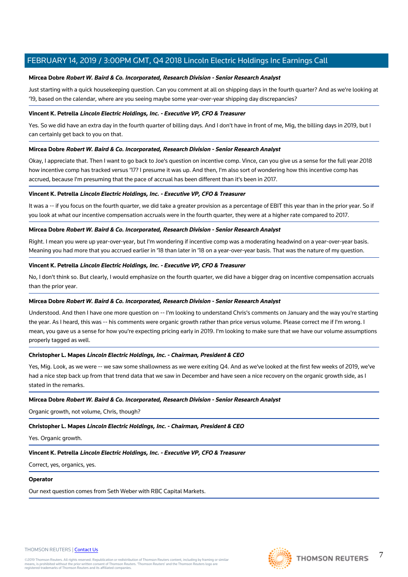## **Mircea Dobre Robert W. Baird & Co. Incorporated, Research Division - Senior Research Analyst**

Just starting with a quick housekeeping question. Can you comment at all on shipping days in the fourth quarter? And as we're looking at '19, based on the calendar, where are you seeing maybe some year-over-year shipping day discrepancies?

#### **Vincent K. Petrella Lincoln Electric Holdings, Inc. - Executive VP, CFO & Treasurer**

Yes. So we did have an extra day in the fourth quarter of billing days. And I don't have in front of me, Mig, the billing days in 2019, but I can certainly get back to you on that.

#### **Mircea Dobre Robert W. Baird & Co. Incorporated, Research Division - Senior Research Analyst**

Okay, I appreciate that. Then I want to go back to Joe's question on incentive comp. Vince, can you give us a sense for the full year 2018 how incentive comp has tracked versus '17? I presume it was up. And then, I'm also sort of wondering how this incentive comp has accrued, because I'm presuming that the pace of accrual has been different than it's been in 2017.

#### **Vincent K. Petrella Lincoln Electric Holdings, Inc. - Executive VP, CFO & Treasurer**

It was a -- if you focus on the fourth quarter, we did take a greater provision as a percentage of EBIT this year than in the prior year. So if you look at what our incentive compensation accruals were in the fourth quarter, they were at a higher rate compared to 2017.

#### **Mircea Dobre Robert W. Baird & Co. Incorporated, Research Division - Senior Research Analyst**

Right. I mean you were up year-over-year, but I'm wondering if incentive comp was a moderating headwind on a year-over-year basis. Meaning you had more that you accrued earlier in '18 than later in '18 on a year-over-year basis. That was the nature of my question.

#### **Vincent K. Petrella Lincoln Electric Holdings, Inc. - Executive VP, CFO & Treasurer**

No, I don't think so. But clearly, I would emphasize on the fourth quarter, we did have a bigger drag on incentive compensation accruals than the prior year.

#### **Mircea Dobre Robert W. Baird & Co. Incorporated, Research Division - Senior Research Analyst**

Understood. And then I have one more question on -- I'm looking to understand Chris's comments on January and the way you're starting the year. As I heard, this was -- his comments were organic growth rather than price versus volume. Please correct me if I'm wrong. I mean, you gave us a sense for how you're expecting pricing early in 2019. I'm looking to make sure that we have our volume assumptions properly tagged as well.

#### **Christopher L. Mapes Lincoln Electric Holdings, Inc. - Chairman, President & CEO**

Yes, Mig. Look, as we were -- we saw some shallowness as we were exiting Q4. And as we've looked at the first few weeks of 2019, we've had a nice step back up from that trend data that we saw in December and have seen a nice recovery on the organic growth side, as I stated in the remarks.

#### **Mircea Dobre Robert W. Baird & Co. Incorporated, Research Division - Senior Research Analyst**

Organic growth, not volume, Chris, though?

# **Christopher L. Mapes Lincoln Electric Holdings, Inc. - Chairman, President & CEO**

Yes. Organic growth.

# **Vincent K. Petrella Lincoln Electric Holdings, Inc. - Executive VP, CFO & Treasurer**

Correct, yes, organics, yes.

# **Operator**

Our next question comes from Seth Weber with RBC Capital Markets.



7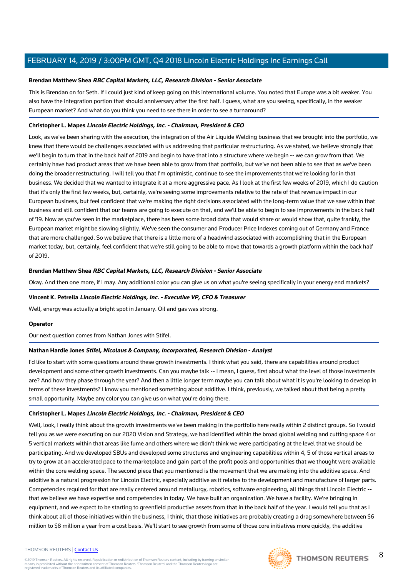#### **Brendan Matthew Shea RBC Capital Markets, LLC, Research Division - Senior Associate**

This is Brendan on for Seth. If I could just kind of keep going on this international volume. You noted that Europe was a bit weaker. You also have the integration portion that should anniversary after the first half. I guess, what are you seeing, specifically, in the weaker European market? And what do you think you need to see there in order to see a turnaround?

## **Christopher L. Mapes Lincoln Electric Holdings, Inc. - Chairman, President & CEO**

Look, as we've been sharing with the execution, the integration of the Air Liquide Welding business that we brought into the portfolio, we knew that there would be challenges associated with us addressing that particular restructuring. As we stated, we believe strongly that we'll begin to turn that in the back half of 2019 and begin to have that into a structure where we begin -- we can grow from that. We certainly have had product areas that we have been able to grow from that portfolio, but we've not been able to see that as we've been doing the broader restructuring. I will tell you that I'm optimistic, continue to see the improvements that we're looking for in that business. We decided that we wanted to integrate it at a more aggressive pace. As I look at the first few weeks of 2019, which I do caution that it's only the first few weeks, but, certainly, we're seeing some improvements relative to the rate of that revenue impact in our European business, but feel confident that we're making the right decisions associated with the long-term value that we saw within that business and still confident that our teams are going to execute on that, and we'll be able to begin to see improvements in the back half of '19. Now as you've seen in the marketplace, there has been some broad data that would share or would show that, quite frankly, the European market might be slowing slightly. We've seen the consumer and Producer Price Indexes coming out of Germany and France that are more challenged. So we believe that there is a little more of a headwind associated with accomplishing that in the European market today, but, certainly, feel confident that we're still going to be able to move that towards a growth platform within the back half of 2019.

## **Brendan Matthew Shea RBC Capital Markets, LLC, Research Division - Senior Associate**

Okay. And then one more, if I may. Any additional color you can give us on what you're seeing specifically in your energy end markets?

#### **Vincent K. Petrella Lincoln Electric Holdings, Inc. - Executive VP, CFO & Treasurer**

Well, energy was actually a bright spot in January. Oil and gas was strong.

#### **Operator**

#### Our next question comes from Nathan Jones with Stifel.

#### **Nathan Hardie Jones Stifel, Nicolaus & Company, Incorporated, Research Division - Analyst**

I'd like to start with some questions around these growth investments. I think what you said, there are capabilities around product development and some other growth investments. Can you maybe talk -- I mean, I guess, first about what the level of those investments are? And how they phase through the year? And then a little longer term maybe you can talk about what it is you're looking to develop in terms of these investments? I know you mentioned something about additive. I think, previously, we talked about that being a pretty small opportunity. Maybe any color you can give us on what you're doing there.

#### **Christopher L. Mapes Lincoln Electric Holdings, Inc. - Chairman, President & CEO**

Well, look, I really think about the growth investments we've been making in the portfolio here really within 2 distinct groups. So I would tell you as we were executing on our 2020 Vision and Strategy, we had identified within the broad global welding and cutting space 4 or 5 vertical markets within that areas like fume and others where we didn't think we were participating at the level that we should be participating. And we developed SBUs and developed some structures and engineering capabilities within 4, 5 of those vertical areas to try to grow at an accelerated pace to the marketplace and gain part of the profit pools and opportunities that we thought were available within the core welding space. The second piece that you mentioned is the movement that we are making into the additive space. And additive is a natural progression for Lincoln Electric, especially additive as it relates to the development and manufacture of larger parts. Competencies required for that are really centered around metallurgy, robotics, software engineering, all things that Lincoln Electric - that we believe we have expertise and competencies in today. We have built an organization. We have a facility. We're bringing in equipment, and we expect to be starting to greenfield productive assets from that in the back half of the year. I would tell you that as I think about all of those initiatives within the business, I think, that those initiatives are probably creating a drag somewhere between \$6 million to \$8 million a year from a cost basis. We'll start to see growth from some of those core initiatives more quickly, the additive

#### THOMSON REUTERS | [Contact Us](https://my.thomsonreuters.com/ContactUsNew)

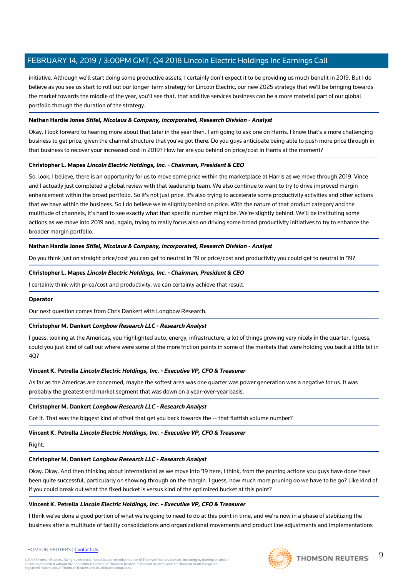initiative. Although we'll start doing some productive assets, I certainly don't expect it to be providing us much benefit in 2019. But I do believe as you see us start to roll out our longer-term strategy for Lincoln Electric, our new 2025 strategy that we'll be bringing towards the market towards the middle of the year, you'll see that, that additive services business can be a more material part of our global portfolio through the duration of the strategy.

## **Nathan Hardie Jones Stifel, Nicolaus & Company, Incorporated, Research Division - Analyst**

Okay. I look forward to hearing more about that later in the year then. I am going to ask one on Harris. I know that's a more challenging business to get price, given the channel structure that you've got there. Do you guys anticipate being able to push more price through in that business to recover your increased cost in 2019? How far are you behind on price/cost in Harris at the moment?

#### **Christopher L. Mapes Lincoln Electric Holdings, Inc. - Chairman, President & CEO**

So, look, I believe, there is an opportunity for us to move some price within the marketplace at Harris as we move through 2019. Vince and I actually just completed a global review with that leadership team. We also continue to want to try to drive improved margin enhancement within the broad portfolio. So it's not just price. It's also trying to accelerate some productivity activities and other actions that we have within the business. So I do believe we're slightly behind on price. With the nature of that product category and the multitude of channels, it's hard to see exactly what that specific number might be. We're slightly behind. We'll be instituting some actions as we move into 2019 and, again, trying to really focus also on driving some broad productivity initiatives to try to enhance the broader margin portfolio.

## **Nathan Hardie Jones Stifel, Nicolaus & Company, Incorporated, Research Division - Analyst**

Do you think just on straight price/cost you can get to neutral in '19 or price/cost and productivity you could get to neutral in '19?

## **Christopher L. Mapes Lincoln Electric Holdings, Inc. - Chairman, President & CEO**

I certainly think with price/cost and productivity, we can certainly achieve that result.

#### **Operator**

#### Our next question comes from Chris Dankert with Longbow Research.

#### **Christopher M. Dankert Longbow Research LLC - Research Analyst**

I guess, looking at the Americas, you highlighted auto, energy, infrastructure, a lot of things growing very nicely in the quarter. I guess, could you just kind of call out where were some of the more friction points in some of the markets that were holding you back a little bit in 4Q?

#### **Vincent K. Petrella Lincoln Electric Holdings, Inc. - Executive VP, CFO & Treasurer**

As far as the Americas are concerned, maybe the softest area was one quarter was power generation was a negative for us. It was probably the greatest end market segment that was down on a year-over-year basis.

#### **Christopher M. Dankert Longbow Research LLC - Research Analyst**

Got it. That was the biggest kind of offset that get you back towards the -- that flattish volume number?

## **Vincent K. Petrella Lincoln Electric Holdings, Inc. - Executive VP, CFO & Treasurer**

#### Right.

#### **Christopher M. Dankert Longbow Research LLC - Research Analyst**

Okay. Okay. And then thinking about international as we move into '19 here, I think, from the pruning actions you guys have done have been quite successful, particularly on showing through on the margin. I guess, how much more pruning do we have to be go? Like kind of if you could break out what the fixed bucket is versus kind of the optimized bucket at this point?

#### **Vincent K. Petrella Lincoln Electric Holdings, Inc. - Executive VP, CFO & Treasurer**

I think we've done a good portion of what we're going to need to do at this point in time, and we're now in a phase of stabilizing the business after a multitude of facility consolidations and organizational movements and product line adjustments and implementations

#### THOMSON REUTERS | [Contact Us](https://my.thomsonreuters.com/ContactUsNew)

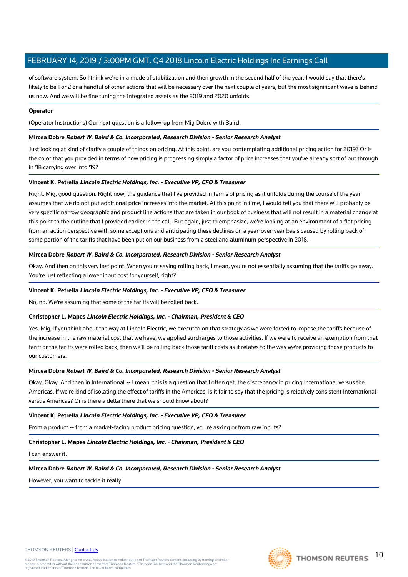of software system. So I think we're in a mode of stabilization and then growth in the second half of the year. I would say that there's likely to be 1 or 2 or a handful of other actions that will be necessary over the next couple of years, but the most significant wave is behind us now. And we will be fine tuning the integrated assets as the 2019 and 2020 unfolds.

#### **Operator**

(Operator Instructions) Our next question is a follow-up from Mig Dobre with Baird.

#### **Mircea Dobre Robert W. Baird & Co. Incorporated, Research Division - Senior Research Analyst**

Just looking at kind of clarify a couple of things on pricing. At this point, are you contemplating additional pricing action for 2019? Or is the color that you provided in terms of how pricing is progressing simply a factor of price increases that you've already sort of put through in '18 carrying over into '19?

#### **Vincent K. Petrella Lincoln Electric Holdings, Inc. - Executive VP, CFO & Treasurer**

Right. Mig, good question. Right now, the guidance that I've provided in terms of pricing as it unfolds during the course of the year assumes that we do not put additional price increases into the market. At this point in time, I would tell you that there will probably be very specific narrow geographic and product line actions that are taken in our book of business that will not result in a material change at this point to the outline that I provided earlier in the call. But again, just to emphasize, we're looking at an environment of a flat pricing from an action perspective with some exceptions and anticipating these declines on a year-over-year basis caused by rolling back of some portion of the tariffs that have been put on our business from a steel and aluminum perspective in 2018.

#### **Mircea Dobre Robert W. Baird & Co. Incorporated, Research Division - Senior Research Analyst**

Okay. And then on this very last point. When you're saying rolling back, I mean, you're not essentially assuming that the tariffs go away. You're just reflecting a lower input cost for yourself, right?

#### **Vincent K. Petrella Lincoln Electric Holdings, Inc. - Executive VP, CFO & Treasurer**

No, no. We're assuming that some of the tariffs will be rolled back.

#### **Christopher L. Mapes Lincoln Electric Holdings, Inc. - Chairman, President & CEO**

Yes. Mig, if you think about the way at Lincoln Electric, we executed on that strategy as we were forced to impose the tariffs because of the increase in the raw material cost that we have, we applied surcharges to those activities. If we were to receive an exemption from that tariff or the tariffs were rolled back, then we'll be rolling back those tariff costs as it relates to the way we're providing those products to our customers.

## **Mircea Dobre Robert W. Baird & Co. Incorporated, Research Division - Senior Research Analyst**

Okay. Okay. And then in International -- I mean, this is a question that I often get, the discrepancy in pricing International versus the Americas. If we're kind of isolating the effect of tariffs in the Americas, is it fair to say that the pricing is relatively consistent International versus Americas? Or is there a delta there that we should know about?

#### **Vincent K. Petrella Lincoln Electric Holdings, Inc. - Executive VP, CFO & Treasurer**

From a product -- from a market-facing product pricing question, you're asking or from raw inputs?

#### **Christopher L. Mapes Lincoln Electric Holdings, Inc. - Chairman, President & CEO**

I can answer it.

#### **Mircea Dobre Robert W. Baird & Co. Incorporated, Research Division - Senior Research Analyst**

However, you want to tackle it really.

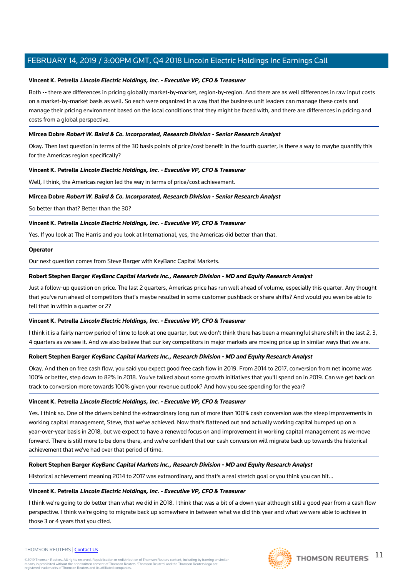#### **Vincent K. Petrella Lincoln Electric Holdings, Inc. - Executive VP, CFO & Treasurer**

Both -- there are differences in pricing globally market-by-market, region-by-region. And there are as well differences in raw input costs on a market-by-market basis as well. So each were organized in a way that the business unit leaders can manage these costs and manage their pricing environment based on the local conditions that they might be faced with, and there are differences in pricing and costs from a global perspective.

#### **Mircea Dobre Robert W. Baird & Co. Incorporated, Research Division - Senior Research Analyst**

Okay. Then last question in terms of the 30 basis points of price/cost benefit in the fourth quarter, is there a way to maybe quantify this for the Americas region specifically?

#### **Vincent K. Petrella Lincoln Electric Holdings, Inc. - Executive VP, CFO & Treasurer**

Well, I think, the Americas region led the way in terms of price/cost achievement.

#### **Mircea Dobre Robert W. Baird & Co. Incorporated, Research Division - Senior Research Analyst**

So better than that? Better than the 30?

#### **Vincent K. Petrella Lincoln Electric Holdings, Inc. - Executive VP, CFO & Treasurer**

Yes. If you look at The Harris and you look at International, yes, the Americas did better than that.

#### **Operator**

Our next question comes from Steve Barger with KeyBanc Capital Markets.

#### **Robert Stephen Barger KeyBanc Capital Markets Inc., Research Division - MD and Equity Research Analyst**

Just a follow-up question on price. The last 2 quarters, Americas price has run well ahead of volume, especially this quarter. Any thought that you've run ahead of competitors that's maybe resulted in some customer pushback or share shifts? And would you even be able to tell that in within a quarter or 2?

#### **Vincent K. Petrella Lincoln Electric Holdings, Inc. - Executive VP, CFO & Treasurer**

I think it is a fairly narrow period of time to look at one quarter, but we don't think there has been a meaningful share shift in the last 2, 3, 4 quarters as we see it. And we also believe that our key competitors in major markets are moving price up in similar ways that we are.

#### **Robert Stephen Barger KeyBanc Capital Markets Inc., Research Division - MD and Equity Research Analyst**

Okay. And then on free cash flow, you said you expect good free cash flow in 2019. From 2014 to 2017, conversion from net income was 100% or better, step down to 82% in 2018. You've talked about some growth initiatives that you'll spend on in 2019. Can we get back on track to conversion more towards 100% given your revenue outlook? And how you see spending for the year?

#### **Vincent K. Petrella Lincoln Electric Holdings, Inc. - Executive VP, CFO & Treasurer**

Yes. I think so. One of the drivers behind the extraordinary long run of more than 100% cash conversion was the steep improvements in working capital management, Steve, that we've achieved. Now that's flattened out and actually working capital bumped up on a year-over-year basis in 2018, but we expect to have a renewed focus on and improvement in working capital management as we move forward. There is still more to be done there, and we're confident that our cash conversion will migrate back up towards the historical achievement that we've had over that period of time.

#### **Robert Stephen Barger KeyBanc Capital Markets Inc., Research Division - MD and Equity Research Analyst**

Historical achievement meaning 2014 to 2017 was extraordinary, and that's a real stretch goal or you think you can hit...

#### **Vincent K. Petrella Lincoln Electric Holdings, Inc. - Executive VP, CFO & Treasurer**

I think we're going to do better than what we did in 2018. I think that was a bit of a down year although still a good year from a cash flow perspective. I think we're going to migrate back up somewhere in between what we did this year and what we were able to achieve in those 3 or 4 years that you cited.



#### THOMSON REUTERS | [Contact Us](https://my.thomsonreuters.com/ContactUsNew)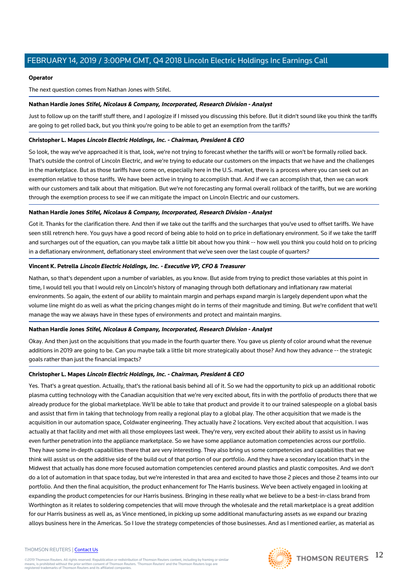#### **Operator**

The next question comes from Nathan Jones with Stifel.

#### **Nathan Hardie Jones Stifel, Nicolaus & Company, Incorporated, Research Division - Analyst**

Just to follow up on the tariff stuff there, and I apologize if I missed you discussing this before. But it didn't sound like you think the tariffs are going to get rolled back, but you think you're going to be able to get an exemption from the tariffs?

#### **Christopher L. Mapes Lincoln Electric Holdings, Inc. - Chairman, President & CEO**

So look, the way we've approached it is that, look, we're not trying to forecast whether the tariffs will or won't be formally rolled back. That's outside the control of Lincoln Electric, and we're trying to educate our customers on the impacts that we have and the challenges in the marketplace. But as those tariffs have come on, especially here in the U.S. market, there is a process where you can seek out an exemption relative to those tariffs. We have been active in trying to accomplish that. And if we can accomplish that, then we can work with our customers and talk about that mitigation. But we're not forecasting any formal overall rollback of the tariffs, but we are working through the exemption process to see if we can mitigate the impact on Lincoln Electric and our customers.

#### **Nathan Hardie Jones Stifel, Nicolaus & Company, Incorporated, Research Division - Analyst**

Got it. Thanks for the clarification there. And then if we take out the tariffs and the surcharges that you've used to offset tariffs. We have seen still retrench here. You guys have a good record of being able to hold on to price in deflationary environment. So if we take the tariff and surcharges out of the equation, can you maybe talk a little bit about how you think -- how well you think you could hold on to pricing in a deflationary environment, deflationary steel environment that we've seen over the last couple of quarters?

#### **Vincent K. Petrella Lincoln Electric Holdings, Inc. - Executive VP, CFO & Treasurer**

Nathan, so that's dependent upon a number of variables, as you know. But aside from trying to predict those variables at this point in time, I would tell you that I would rely on Lincoln's history of managing through both deflationary and inflationary raw material environments. So again, the extent of our ability to maintain margin and perhaps expand margin is largely dependent upon what the volume line might do as well as what the pricing changes might do in terms of their magnitude and timing. But we're confident that we'll manage the way we always have in these types of environments and protect and maintain margins.

#### **Nathan Hardie Jones Stifel, Nicolaus & Company, Incorporated, Research Division - Analyst**

Okay. And then just on the acquisitions that you made in the fourth quarter there. You gave us plenty of color around what the revenue additions in 2019 are going to be. Can you maybe talk a little bit more strategically about those? And how they advance -- the strategic goals rather than just the financial impacts?

#### **Christopher L. Mapes Lincoln Electric Holdings, Inc. - Chairman, President & CEO**

Yes. That's a great question. Actually, that's the rational basis behind all of it. So we had the opportunity to pick up an additional robotic plasma cutting technology with the Canadian acquisition that we're very excited about, fits in with the portfolio of products there that we already produce for the global marketplace. We'll be able to take that product and provide it to our trained salespeople on a global basis and assist that firm in taking that technology from really a regional play to a global play. The other acquisition that we made is the acquisition in our automation space, Coldwater engineering. They actually have 2 locations. Very excited about that acquisition. I was actually at that facility and met with all those employees last week. They're very, very excited about their ability to assist us in having even further penetration into the appliance marketplace. So we have some appliance automation competencies across our portfolio. They have some in-depth capabilities there that are very interesting. They also bring us some competencies and capabilities that we think will assist us on the additive side of the build out of that portion of our portfolio. And they have a secondary location that's in the Midwest that actually has done more focused automation competencies centered around plastics and plastic composites. And we don't do a lot of automation in that space today, but we're interested in that area and excited to have those 2 pieces and those 2 teams into our portfolio. And then the final acquisition, the product enhancement for The Harris business. We've been actively engaged in looking at expanding the product competencies for our Harris business. Bringing in these really what we believe to be a best-in-class brand from Worthington as it relates to soldering competencies that will move through the wholesale and the retail marketplace is a great addition for our Harris business as well as, as Vince mentioned, in picking up some additional manufacturing assets as we expand our brazing alloys business here in the Americas. So I love the strategy competencies of those businesses. And as I mentioned earlier, as material as

#### THOMSON REUTERS | [Contact Us](https://my.thomsonreuters.com/ContactUsNew)

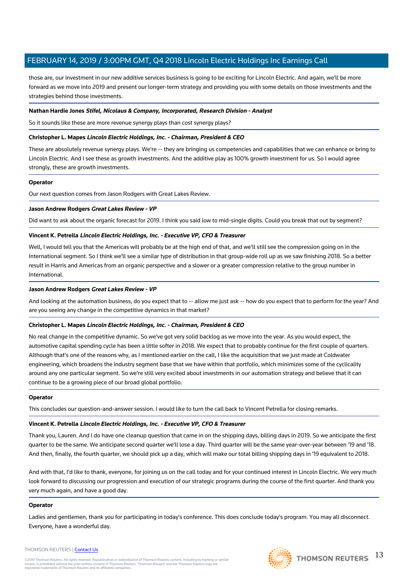those are, our investment in our new additive services business is going to be exciting for Lincoln Electric. And again, we'll be more forward as we move into 2019 and present our longer-term strategy and providing you with some details on those investments and the strategies behind those investments.

#### **Nathan Hardie Jones Stifel, Nicolaus & Company, Incorporated, Research Division - Analyst**

So it sounds like these are more revenue synergy plays than cost synergy plays?

## **Christopher L. Mapes Lincoln Electric Holdings, Inc. - Chairman, President & CEO**

These are absolutely revenue synergy plays. We're -- they are bringing us competencies and capabilities that we can enhance or bring to Lincoln Electric. And I see these as growth investments. And the additive play as 100% growth investment for us. So I would agree strongly, these are growth investments.

#### **Operator**

Our next question comes from Jason Rodgers with Great Lakes Review.

#### **Jason Andrew Rodgers Great Lakes Review - VP**

Did want to ask about the organic forecast for 2019. I think you said low to mid-single digits. Could you break that out by segment?

## **Vincent K. Petrella Lincoln Electric Holdings, Inc. - Executive VP, CFO & Treasurer**

Well, I would tell you that the Americas will probably be at the high end of that, and we'll still see the compression going on in the International segment. So I think we'll see a similar type of distribution in that group-wide roll up as we saw finishing 2018. So a better result in Harris and Americas from an organic perspective and a slower or a greater compression relative to the group number in International.

#### **Jason Andrew Rodgers Great Lakes Review - VP**

And looking at the automation business, do you expect that to -- allow me just ask -- how do you expect that to perform for the year? And are you seeing any change in the competitive dynamics in that market?

## **Christopher L. Mapes Lincoln Electric Holdings, Inc. - Chairman, President & CEO**

No real change in the competitive dynamic. So we've got very solid backlog as we move into the year. As you would expect, the automotive capital spending cycle has been a little softer in 2018. We expect that to probably continue for the first couple of quarters. Although that's one of the reasons why, as I mentioned earlier on the call, I like the acquisition that we just made at Coldwater engineering, which broadens the industry segment base that we have within that portfolio, which minimizes some of the cyclicality around any one particular segment. So we're still very excited about investments in our automation strategy and believe that it can continue to be a growing piece of our broad global portfolio.

#### **Operator**

This concludes our question-and-answer session. I would like to turn the call back to Vincent Petrella for closing remarks.

#### **Vincent K. Petrella Lincoln Electric Holdings, Inc. - Executive VP, CFO & Treasurer**

Thank you, Lauren. And I do have one cleanup question that came in on the shipping days, billing days in 2019. So we anticipate the first quarter to be the same. We anticipate second quarter we'll lose a day. Third quarter will be the same year-over-year between '19 and '18. And then, finally, the fourth quarter, we should pick up a day, which will make our total billing shipping days in '19 equivalent to 2018.

And with that, I'd like to thank, everyone, for joining us on the call today and for your continued interest in Lincoln Electric. We very much look forward to discussing our progression and execution of our strategic programs during the course of the first quarter. And thank you very much again, and have a good day.

#### **Operator**

Ladies and gentlemen, thank you for participating in today's conference. This does conclude today's program. You may all disconnect. Everyone, have a wonderful day.

#### THOMSON REUTERS | [Contact Us](https://my.thomsonreuters.com/ContactUsNew)